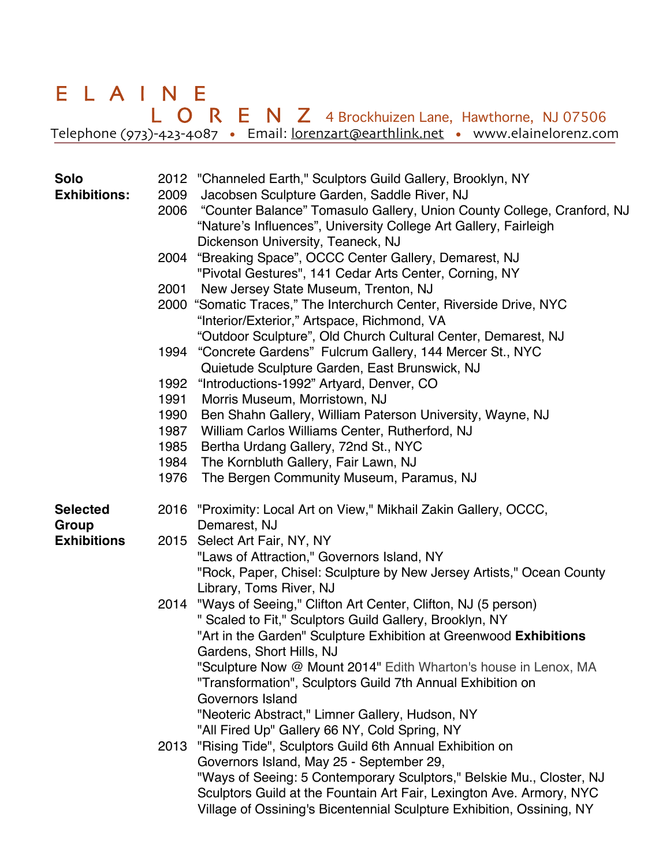## ELAINE ELAINE<br>
LORENZ 4 Brockhuizen Lane, Hawthorne, NJ 07506 Telephone (973)-423-4087 • Email: lorenzart@earthlink.net • www.elainelorenz.com

| <b>Solo</b><br><b>Exhibitions:</b> | 2009<br>2006 | 2012 "Channeled Earth," Sculptors Guild Gallery, Brooklyn, NY<br>Jacobsen Sculpture Garden, Saddle River, NJ<br>"Counter Balance" Tomasulo Gallery, Union County College, Cranford, NJ<br>"Nature's Influences", University College Art Gallery, Fairleigh<br>Dickenson University, Teaneck, NJ |
|------------------------------------|--------------|-------------------------------------------------------------------------------------------------------------------------------------------------------------------------------------------------------------------------------------------------------------------------------------------------|
|                                    |              | 2004 "Breaking Space", OCCC Center Gallery, Demarest, NJ<br>"Pivotal Gestures", 141 Cedar Arts Center, Corning, NY                                                                                                                                                                              |
|                                    | 2001         | New Jersey State Museum, Trenton, NJ                                                                                                                                                                                                                                                            |
|                                    |              | 2000 "Somatic Traces," The Interchurch Center, Riverside Drive, NYC<br>"Interior/Exterior," Artspace, Richmond, VA                                                                                                                                                                              |
|                                    | 1994         | "Outdoor Sculpture", Old Church Cultural Center, Demarest, NJ<br>"Concrete Gardens" Fulcrum Gallery, 144 Mercer St., NYC<br>Quietude Sculpture Garden, East Brunswick, NJ                                                                                                                       |
|                                    | 1992         | "Introductions-1992" Artyard, Denver, CO                                                                                                                                                                                                                                                        |
|                                    | 1991         | Morris Museum, Morristown, NJ                                                                                                                                                                                                                                                                   |
|                                    | 1990         | Ben Shahn Gallery, William Paterson University, Wayne, NJ                                                                                                                                                                                                                                       |
|                                    | 1987         | William Carlos Williams Center, Rutherford, NJ                                                                                                                                                                                                                                                  |
|                                    | 1985         | Bertha Urdang Gallery, 72nd St., NYC                                                                                                                                                                                                                                                            |
|                                    | 1984         | The Kornbluth Gallery, Fair Lawn, NJ                                                                                                                                                                                                                                                            |
|                                    | 1976         | The Bergen Community Museum, Paramus, NJ                                                                                                                                                                                                                                                        |
| <b>Selected</b><br>Group           |              | 2016 "Proximity: Local Art on View," Mikhail Zakin Gallery, OCCC,<br>Demarest, NJ                                                                                                                                                                                                               |
| <b>Exhibitions</b>                 | 2015         | Select Art Fair, NY, NY                                                                                                                                                                                                                                                                         |
|                                    |              | "Laws of Attraction," Governors Island, NY                                                                                                                                                                                                                                                      |
|                                    |              | "Rock, Paper, Chisel: Sculpture by New Jersey Artists," Ocean County                                                                                                                                                                                                                            |
|                                    |              | Library, Toms River, NJ                                                                                                                                                                                                                                                                         |
|                                    | 2014         | "Ways of Seeing," Clifton Art Center, Clifton, NJ (5 person)                                                                                                                                                                                                                                    |
|                                    |              | " Scaled to Fit," Sculptors Guild Gallery, Brooklyn, NY                                                                                                                                                                                                                                         |
|                                    |              | "Art in the Garden" Sculpture Exhibition at Greenwood Exhibitions<br>Gardens, Short Hills, NJ                                                                                                                                                                                                   |
|                                    |              | "Sculpture Now @ Mount 2014" Edith Wharton's house in Lenox, MA                                                                                                                                                                                                                                 |
|                                    |              | "Transformation", Sculptors Guild 7th Annual Exhibition on                                                                                                                                                                                                                                      |
|                                    |              | Governors Island                                                                                                                                                                                                                                                                                |
|                                    |              | "Neoteric Abstract," Limner Gallery, Hudson, NY                                                                                                                                                                                                                                                 |
|                                    |              | "All Fired Up" Gallery 66 NY, Cold Spring, NY                                                                                                                                                                                                                                                   |
|                                    | 2013         | "Rising Tide", Sculptors Guild 6th Annual Exhibition on                                                                                                                                                                                                                                         |
|                                    |              | Governors Island, May 25 - September 29,                                                                                                                                                                                                                                                        |
|                                    |              | "Ways of Seeing: 5 Contemporary Sculptors," Belskie Mu., Closter, NJ                                                                                                                                                                                                                            |
|                                    |              | Sculptors Guild at the Fountain Art Fair, Lexington Ave. Armory, NYC<br>Village of Ossining's Bicentennial Sculpture Exhibition, Ossining, NY                                                                                                                                                   |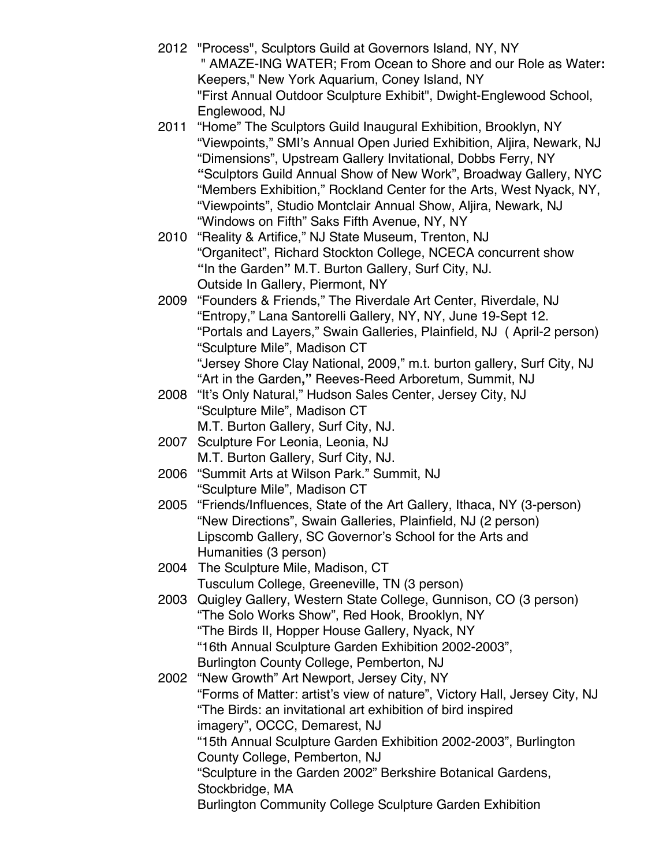- 2012 "Process", Sculptors Guild at Governors Island, NY, NY " AMAZE-ING WATER; From Ocean to Shore and our Role as Water**:** Keepers," New York Aquarium, Coney Island, NY "First Annual Outdoor Sculpture Exhibit", Dwight-Englewood School, Englewood, NJ
- 2011 "Home" The Sculptors Guild Inaugural Exhibition, Brooklyn, NY "Viewpoints," SMI's Annual Open Juried Exhibition, Aljira, Newark, NJ "Dimensions", Upstream Gallery Invitational, Dobbs Ferry, NY **"**Sculptors Guild Annual Show of New Work", Broadway Gallery, NYC "Members Exhibition," Rockland Center for the Arts, West Nyack, NY, "Viewpoints", Studio Montclair Annual Show, Aljira, Newark, NJ "Windows on Fifth" Saks Fifth Avenue, NY, NY
- 2010 "Reality & Artifice," NJ State Museum, Trenton, NJ "Organitect", Richard Stockton College, NCECA concurrent show **"**In the Garden**"** M.T. Burton Gallery, Surf City, NJ. Outside In Gallery, Piermont, NY
- 2009 "Founders & Friends," The Riverdale Art Center, Riverdale, NJ "Entropy," Lana Santorelli Gallery, NY, NY, June 19-Sept 12. "Portals and Layers," Swain Galleries, Plainfield, NJ ( April-2 person) "Sculpture Mile", Madison CT "Jersey Shore Clay National, 2009," m.t. burton gallery, Surf City, NJ "Art in the Garden**,"** Reeves-Reed Arboretum, Summit, NJ
- 2008 "It's Only Natural," Hudson Sales Center, Jersey City, NJ "Sculpture Mile", Madison CT M.T. Burton Gallery, Surf City, NJ.
- 2007 Sculpture For Leonia, Leonia, NJ M.T. Burton Gallery, Surf City, NJ.
- 2006 "Summit Arts at Wilson Park." Summit, NJ "Sculpture Mile", Madison CT
- 2005 "Friends/Influences, State of the Art Gallery, Ithaca, NY (3-person) "New Directions", Swain Galleries, Plainfield, NJ (2 person) Lipscomb Gallery, SC Governor's School for the Arts and Humanities (3 person)
- 2004 The Sculpture Mile, Madison, CT Tusculum College, Greeneville, TN (3 person)
- 2003 Quigley Gallery, Western State College, Gunnison, CO (3 person) "The Solo Works Show", Red Hook, Brooklyn, NY "The Birds II, Hopper House Gallery, Nyack, NY "16th Annual Sculpture Garden Exhibition 2002-2003", Burlington County College, Pemberton, NJ
- 2002 "New Growth" Art Newport, Jersey City, NY "Forms of Matter: artist's view of nature", Victory Hall, Jersey City, NJ "The Birds: an invitational art exhibition of bird inspired imagery", OCCC, Demarest, NJ "15th Annual Sculpture Garden Exhibition 2002-2003", Burlington County College, Pemberton, NJ "Sculpture in the Garden 2002" Berkshire Botanical Gardens, Stockbridge, MA Burlington Community College Sculpture Garden Exhibition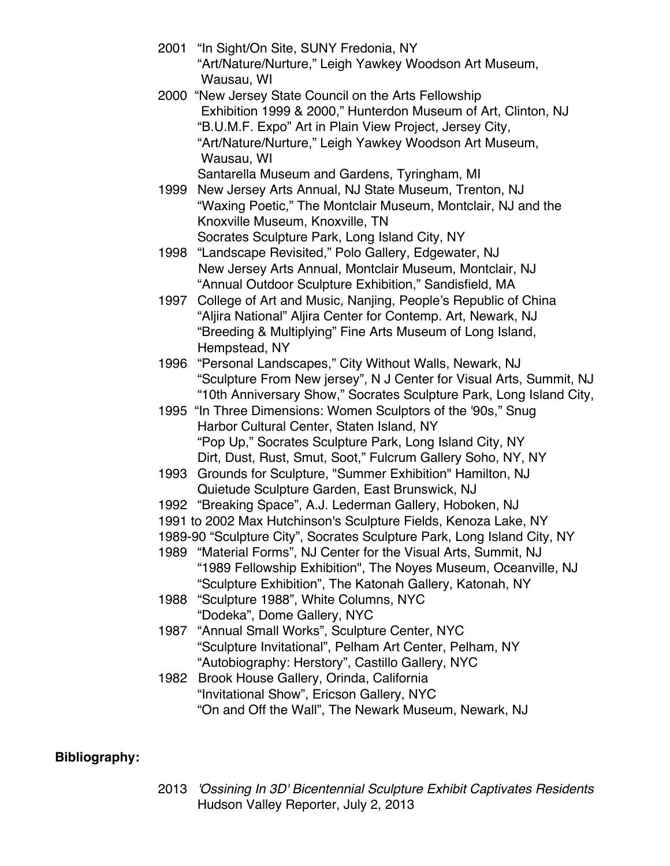- 2001 "In Sight/On Site, SUNY Fredonia, NY "Art/Nature/Nurture," Leigh Yawkey Woodson Art Museum, Wausau, WI
- 2000 "New Jersey State Council on the Arts Fellowship Exhibition 1999 & 2000," Hunterdon Museum of Art, Clinton, NJ "B.U.M.F. Expo" Art in Plain View Project, Jersey City, "Art/Nature/Nurture," Leigh Yawkey Woodson Art Museum, Wausau, WI Santarella Museum and Gardens, Tyringham, MI
- 1999 New Jersey Arts Annual, NJ State Museum, Trenton, NJ "Waxing Poetic," The Montclair Museum, Montclair, NJ and the Knoxville Museum, Knoxville, TN Socrates Sculpture Park, Long Island City, NY
- 1998 "Landscape Revisited," Polo Gallery, Edgewater, NJ New Jersey Arts Annual, Montclair Museum, Montclair, NJ "Annual Outdoor Sculpture Exhibition," Sandisfield, MA
- 1997 College of Art and Music, Nanjing, People's Republic of China "Aljira National" Aljira Center for Contemp. Art, Newark, NJ "Breeding & Multiplying" Fine Arts Museum of Long Island, Hempstead, NY
- 1996 "Personal Landscapes," City Without Walls, Newark, NJ "Sculpture From New jersey", N J Center for Visual Arts, Summit, NJ "10th Anniversary Show," Socrates Sculpture Park, Long Island City,
- 1995 "In Three Dimensions: Women Sculptors of the '90s," Snug Harbor Cultural Center, Staten Island, NY "Pop Up," Socrates Sculpture Park, Long Island City, NY Dirt, Dust, Rust, Smut, Soot," Fulcrum Gallery Soho, NY, NY
- 1993 Grounds for Sculpture, "Summer Exhibition" Hamilton, NJ Quietude Sculpture Garden, East Brunswick, NJ
- 1992 "Breaking Space", A.J. Lederman Gallery, Hoboken, NJ
- 1991 to 2002 Max Hutchinson's Sculpture Fields, Kenoza Lake, NY
- 1989-90 "Sculpture City", Socrates Sculpture Park, Long Island City, NY
- 1989 "Material Forms", NJ Center for the Visual Arts, Summit, NJ "1989 Fellowship Exhibition", The Noyes Museum, Oceanville, NJ "Sculpture Exhibition", The Katonah Gallery, Katonah, NY
- 1988 "Sculpture 1988", White Columns, NYC "Dodeka", Dome Gallery, NYC
- 1987 "Annual Small Works", Sculpture Center, NYC "Sculpture Invitational", Pelham Art Center, Pelham, NY "Autobiography: Herstory", Castillo Gallery, NYC
- 1982 Brook House Gallery, Orinda, California "Invitational Show", Ericson Gallery, NYC "On and Off the Wall", The Newark Museum, Newark, NJ

## **Bibliography:**

2013 *'Ossining In 3D' Bicentennial Sculpture Exhibit Captivates Residents* Hudson Valley Reporter, July 2, 2013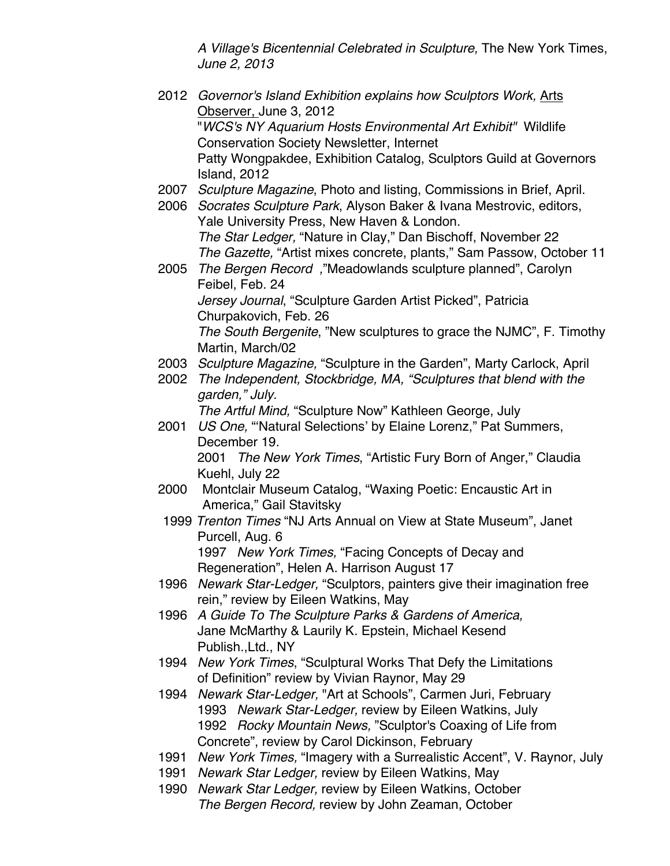*A Village's Bicentennial Celebrated in Sculpture,* The New York Times, *June 2, 2013*

- 2012 *Governor's Island Exhibition explains how Sculptors Work,* Arts Observer, June 3, 2012 "*WCS's NY Aquarium Hosts Environmental Art Exhibit"* Wildlife Conservation Society Newsletter, Internet Patty Wongpakdee, Exhibition Catalog, Sculptors Guild at Governors Island, 2012 2007 *Sculpture Magazine*, Photo and listing, Commissions in Brief, April. 2006 *Socrates Sculpture Park*, Alyson Baker & Ivana Mestrovic, editors, Yale University Press, New Haven & London. *The Star Ledger,* "Nature in Clay," Dan Bischoff, November 22 *The Gazette,* "Artist mixes concrete, plants," Sam Passow, October 11 2005 *The Bergen Record ,*"Meadowlands sculpture planned", Carolyn Feibel, Feb. 24 *Jersey Journal*, "Sculpture Garden Artist Picked", Patricia Churpakovich, Feb. 26 *The South Bergenite*, "New sculptures to grace the NJMC", F. Timothy Martin, March/02 2003 *Sculpture Magazine,* "Sculpture in the Garden", Marty Carlock, April 2002 *The Independent, Stockbridge, MA, "Sculptures that blend with the garden," July. The Artful Mind,* "Sculpture Now" Kathleen George, July 2001 *US One,* "ʻNatural Selections' by Elaine Lorenz," Pat Summers, December 19. 2001 *The New York Times*, "Artistic Fury Born of Anger," Claudia Kuehl, July 22 2000 Montclair Museum Catalog, "Waxing Poetic: Encaustic Art in America," Gail Stavitsky 1999 *Trenton Times* "NJ Arts Annual on View at State Museum", Janet Purcell, Aug. 6 1997 *New York Times,* "Facing Concepts of Decay and Regeneration", Helen A. Harrison August 17 1996 *Newark Star-Ledger,* "Sculptors, painters give their imagination free rein," review by Eileen Watkins, May 1996 *A Guide To The Sculpture Parks & Gardens of America,* Jane McMarthy & Laurily K. Epstein, Michael Kesend Publish.,Ltd., NY 1994 *New York Times*, "Sculptural Works That Defy the Limitations of Definition" review by Vivian Raynor, May 29 1994 *Newark Star-Ledger,* "Art at Schools", Carmen Juri, February 1993 *Newark Star-Ledger,* review by Eileen Watkins, July 1992 *Rocky Mountain News,* "Sculptor's Coaxing of Life from Concrete", review by Carol Dickinson, February 1991 *New York Times,* "Imagery with a Surrealistic Accent", V. Raynor, July
	- 1991 *Newark Star Ledger,* review by Eileen Watkins, May
	- 1990 *Newark Star Ledger,* review by Eileen Watkins, October *The Bergen Record,* review by John Zeaman, October